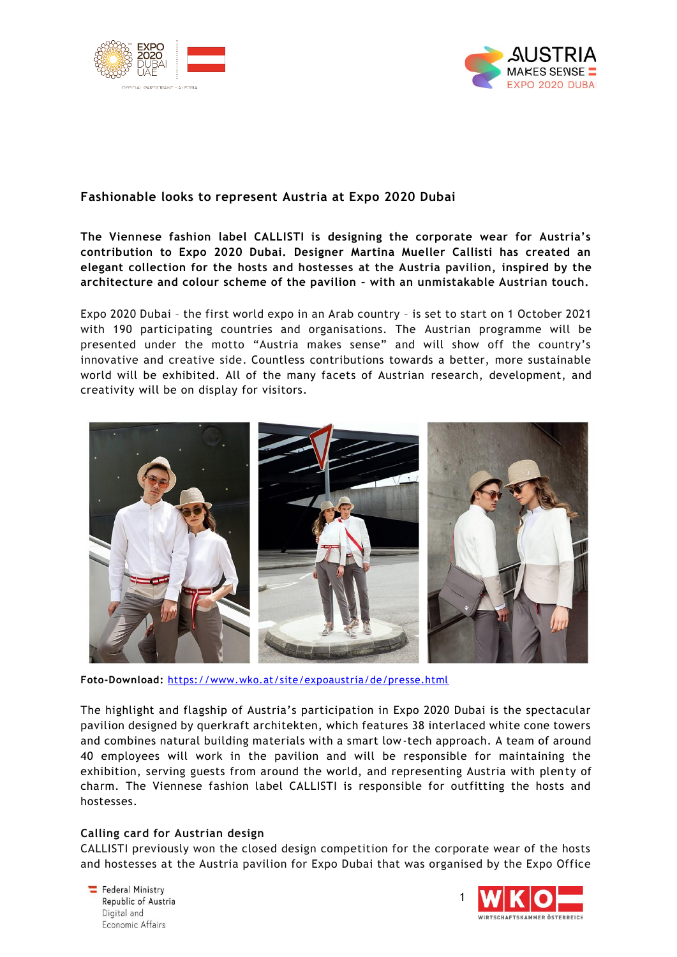



# **Fashionable looks to represent Austria at Expo 2020 Dubai**

**The Viennese fashion label CALLISTI is designing the corporate wear for Austria's contribution to Expo 2020 Dubai. Designer Martina Mueller Callisti has created an elegant collection for the hosts and hostesses at the Austria pavilion, inspired by the architecture and colour scheme of the pavilion – with an unmistakable Austrian touch.** 

Expo 2020 Dubai – the first world expo in an Arab country – is set to start on 1 October 2021 with 190 participating countries and organisations. The Austrian programme will be presented under the motto "Austria makes sense" and will show off the country's innovative and creative side. Countless contributions towards a better, more sustainable world will be exhibited. All of the many facets of Austrian research, development, and creativity will be on display for visitors.



**Foto-Download:** <https://www.wko.at/site/expoaustria/de/presse.html>

The highlight and flagship of Austria's participation in Expo 2020 Dubai is the spectacular pavilion designed by querkraft architekten, which features 38 interlaced white cone towers and combines natural building materials with a smart low-tech approach. A team of around 40 employees will work in the pavilion and will be responsible for maintaining the exhibition, serving guests from around the world, and representing Austria with plen ty of charm. The Viennese fashion label CALLISTI is responsible for outfitting the hosts and hostesses.

### **Calling card for Austrian design**

CALLISTI previously won the closed design competition for the corporate wear of the hosts and hostesses at the Austria pavilion for Expo Dubai that was organised by the Expo Office

Federal Ministry Republic of Austria Digital and Economic Affairs

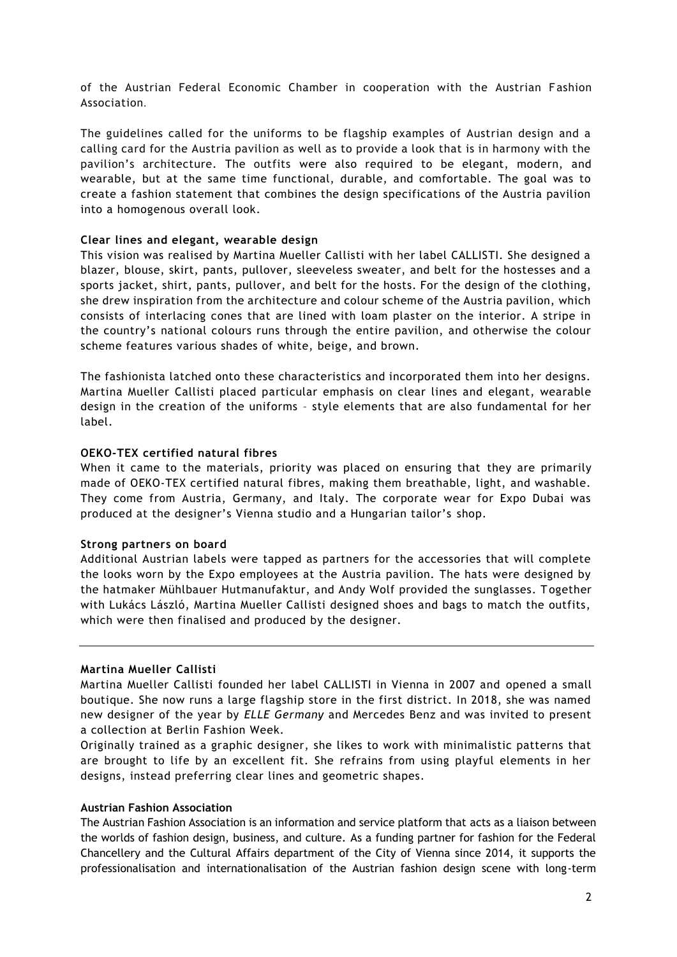of the Austrian Federal Economic Chamber in cooperation with the Austrian Fashion Association.

The guidelines called for the uniforms to be flagship examples of Austrian design and a calling card for the Austria pavilion as well as to provide a look that is in harmony with the pavilion's architecture. The outfits were also required to be elegant, modern, and wearable, but at the same time functional, durable, and comfortable. The goal was to create a fashion statement that combines the design specifications of the Austria pavilion into a homogenous overall look.

### **Clear lines and elegant, wearable design**

This vision was realised by Martina Mueller Callisti with her label CALLISTI. She designed a blazer, blouse, skirt, pants, pullover, sleeveless sweater, and belt for the hostesses and a sports jacket, shirt, pants, pullover, and belt for the hosts. For the design of the clothing, she drew inspiration from the architecture and colour scheme of the Austria pavilion, which consists of interlacing cones that are lined with loam plaster on the interior. A stripe in the country's national colours runs through the entire pavilion, and otherwise the colour scheme features various shades of white, beige, and brown.

The fashionista latched onto these characteristics and incorporated them into her designs. Martina Mueller Callisti placed particular emphasis on clear lines and elegant, wearable design in the creation of the uniforms – style elements that are also fundamental for her label.

#### **OEKO-TEX certified natural fibres**

When it came to the materials, priority was placed on ensuring that they are primarily made of OEKO-TEX certified natural fibres, making them breathable, light, and washable. They come from Austria, Germany, and Italy. The corporate wear for Expo Dubai was produced at the designer's Vienna studio and a Hungarian tailor's shop.

#### **Strong partners on board**

Additional Austrian labels were tapped as partners for the accessories that will complete the looks worn by the Expo employees at the Austria pavilion. The hats were designed by the hatmaker Mühlbauer Hutmanufaktur, and Andy Wolf provided the sunglasses. Together with Lukács László, Martina Mueller Callisti designed shoes and bags to match the outfits, which were then finalised and produced by the designer.

#### **Martina Mueller Callisti**

Martina Mueller Callisti founded her label CALLISTI in Vienna in 2007 and opened a small boutique. She now runs a large flagship store in the first district. In 2018, she was named new designer of the year by *ELLE Germany* and Mercedes Benz and was invited to present a collection at Berlin Fashion Week.

Originally trained as a graphic designer, she likes to work with minimalistic patterns that are brought to life by an excellent fit. She refrains from using playful elements in her designs, instead preferring clear lines and geometric shapes.

#### **Austrian Fashion Association**

The Austrian Fashion Association is an information and service platform that acts as a liaison between the worlds of fashion design, business, and culture. As a funding partner for fashion for the Federal Chancellery and the Cultural Affairs department of the City of Vienna since 2014, it supports the professionalisation and internationalisation of the Austrian fashion design scene with long-term